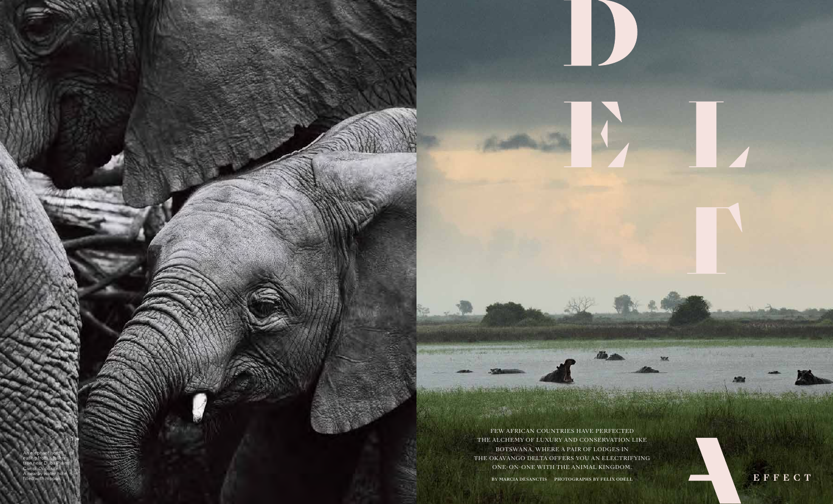

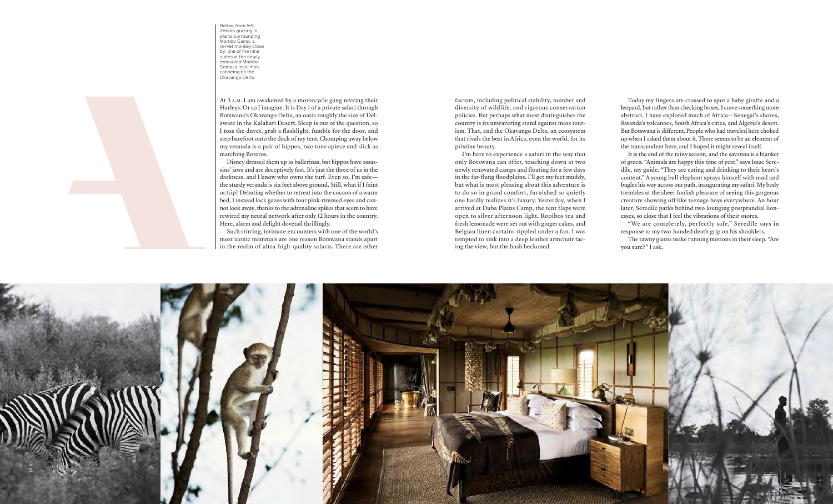





At 3 a.m. I am awakened by a motorcycle gang revving their Harleys. Or so I imagine. It is Day 1 of a private safari through Botswana's Okavango Delta, an oasis roughly the size of Delaware in the Kalahari Desert. Sleep is out of the question, so I toss the duvet, grab a flashlight, fumble for the door, and step barefoot onto the deck of my tent. Chomping away below my veranda is a pair of hippos, two tons apiece and slick as matching Boteros.

Disney dressed them up as ballerinas, but hippos have assassins' jaws and are deceptively fast. It's just the three of us in the darkness, and I know who owns the turf. Even so, I'm safe the sturdy veranda is six feet above ground. Still, what if I faint or trip? Debating whether to retreat into the cocoon of a warm bed, I instead lock gazes with four pink-rimmed eyes and cannot look away, thanks to the adrenaline spikes that seem to have rewired my neural network after only 12 hours in the country. Here, alarm and delight dovetail thrillingly.

Such stirring, intimate encounters with one of the world's most iconic mammals are one reason Botswana stands apart in the realm of ultra-high-quality safaris. There are other

factors, including political stability, number and diversity of wildlife, and rigorous conservation policies. But perhaps what most distinguishes the country is its unwavering stand against mass tourism. That, and the Okavango Delta, an ecosystem that rivals the best in Africa, even the world, for its pristine beauty.

I'm here to experience a safari in the way that only Botswana can offer, touching down at two newly renovated camps and floating for a few days in the far-flung floodplains. I'll get my feet muddy, but what is most pleasing about this adventure is to do so in grand comfort, furnished so quietly one hardly realizes it's luxury. Yesterday, when I arrived at Duba Plains Camp, the tent flaps were open to silver afternoon light. Rooibos tea and fresh lemonade were set out with ginger cakes, and Belgian linen curtains rippled under a fan. I was tempted to sink into a deep leather armchair facing the view, but the bush beckoned.

Today my fingers are crossed to spot a baby giraffe and a leopard, but rather than checking boxes, I crave something more abstract. I have explored much of Africa—Senegal's shores, Rwanda's volcanoes, South Africa's cities, and Algeria's desert. But Botswana is different. People who had traveled here choked up when I asked them about it. There seems to be an element of the transcendent here, and I hoped it might reveal itself.

It is the end of the rainy season, and the savanna is a blanket of green. "Animals are happy this time of year," says Isaac Seredile, my guide. "They are eating and drinking to their heart's content." A young bull elephant sprays himself with mud and bugles his way across our path, inaugurating my safari. My body trembles at the sheer foolish pleasure of seeing this gorgeous creature showing off like teenage boys everywhere. An hour later, Seredile parks behind two lounging postprandial lionesses, so close that I feel the vibrations of their snores.

"We are completely, perfectly safe," Seredile says in response to my two-handed death grip on his shoulders.

The tawny giants make running motions in their sleep. "Are you sure?" I ask.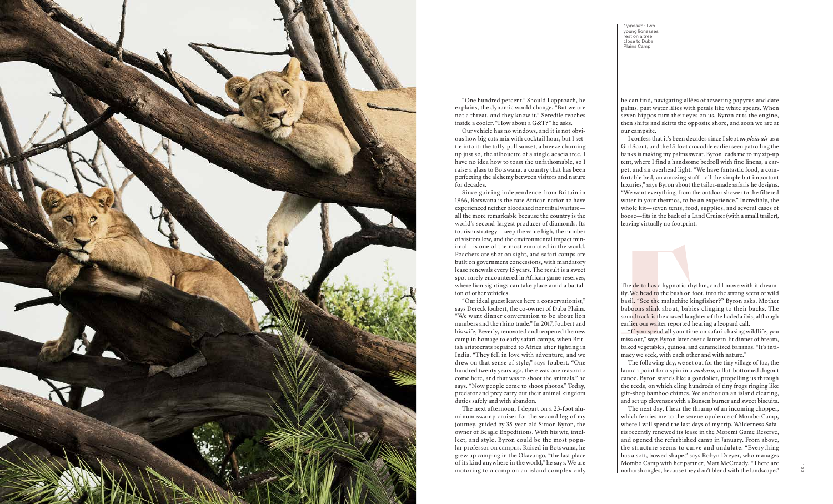*Opposite:* Two young lionesses rest on a tree close to Duba Plains Camp.



"One hundred percent." Should I approach, he explains, the dynamic would change. "But we are not a threat, and they know it." Seredile reaches inside a cooler. "How about a G&T?" he asks.

Our vehicle has no windows, and it is not obvious how big cats mix with cocktail hour, but I settle into it: the taffy-pull sunset, a breeze churning up just so, the silhouette of a single acacia tree. I have no idea how to toast the unfathomable, so I raise a glass to Botswana, a country that has been perfecting the alchemy between visitors and nature for decades.

Since gaining independence from Britain in 1966, Botswana is the rare African nation to have experienced neither bloodshed nor tribal warfare all the more remarkable because the country is the world's second-largest producer of diamonds. Its tourism strategy—keep the value high, the number of visitors low, and the environmental impact minimal—is one of the most emulated in the world. Poachers are shot on sight, and safari camps are built on government concessions, with mandatory lease renewals every 15 years. The result is a sweet spot rarely encountered in African game reserves, where lion sightings can take place amid a battalion of other vehicles.

"Our ideal guest leaves here a conservationist," says Dereck Joubert, the co-owner of Duba Plains. "We want dinner conversation to be about lion numbers and the rhino trade." In 2017, Joubert and his wife, Beverly, renovated and reopened the new camp in homage to early safari camps, when British aristocrats repaired to Africa after fighting in India. "They fell in love with adventure, and we drew on that sense of style," says Joubert. "One hundred twenty years ago, there was one reason to come here, and that was to shoot the animals," he says. "Now people come to shoot photos." Today, predator and prey carry out their animal kingdom duties safely and with abandon.

The next afternoon, I depart on a 23-foot aluminum swamp cruiser for the second leg of my journey, guided by 35-year-old Simon Byron, the owner of Beagle Expeditions. With his wit, intellect, and style, Byron could be the most popular professor on campus. Raised in Botswana, he grew up camping in the Okavango, "the last place of its kind anywhere in the world," he says. We are motoring to a camp on an island complex only he can find, navigating allées of towering papyrus and date palms, past water lilies with petals like white spears. When seven hippos turn their eyes on us, Byron cuts the engine, then shifts and skirts the opposite shore, and soon we are at our campsite.

I confess that it's been decades since I slept *en plein air* as a Girl Scout, and the 15-foot crocodile earlier seen patrolling the banks is making my palms sweat. Byron leads me to my zip-up tent, where I find a handsome bedroll with fine linens, a carpet, and an overhead light. "We have fantastic food, a comfortable bed, an amazing staff—all the simple but important luxuries," says Byron about the tailor-made safaris he designs. "We want everything, from the outdoor shower to the filtered water in your thermos, to be an experience." Incredibly, the whole kit—seven tents, food, supplies, and several cases of booze—fits in the back of a Land Cruiser (with a small trailer), leaving virtually no footprint.

The delta has a hypnotic rhythm, and I move with it dreamily. We head to the bush on foot, into the strong scent of wild basil. "See the malachite kingfisher?" Byron asks. Mother baboons slink about, babies clinging to their backs. The soundtrack is the crazed laughter of the hadeda ibis, although earlier our waiter reported hearing a leopard call.

"If you spend all your time on safari chasing wildlife, you miss out," says Byron later over a lantern-lit dinner of bream, baked vegetables, quinoa, and caramelized bananas. "It's intimacy we seek, with each other and with nature."

The following day, we set out for the tiny village of Jao, the launch point for a spin in a *mokoro,* a flat-bottomed dugout canoe. Byron stands like a gondolier, propelling us through the reeds, on which cling hundreds of tiny frogs ringing like gift-shop bamboo chimes. We anchor on an island clearing, and set up elevenses with a Bunsen burner and sweet biscuits.

The next day, I hear the thrump of an incoming chopper, which ferries me to the serene opulence of Mombo Camp, where I will spend the last days of my trip. Wilderness Safaris recently renewed its lease in the Moremi Game Reserve, and opened the refurbished camp in January. From above, the structure seems to curve and undulate. "Everything has a soft, bowed shape," says Robyn Dreyer, who manages Mombo Camp with her partner, Matt McCready. "There are no harsh angles, because they don't blend with the landscape."